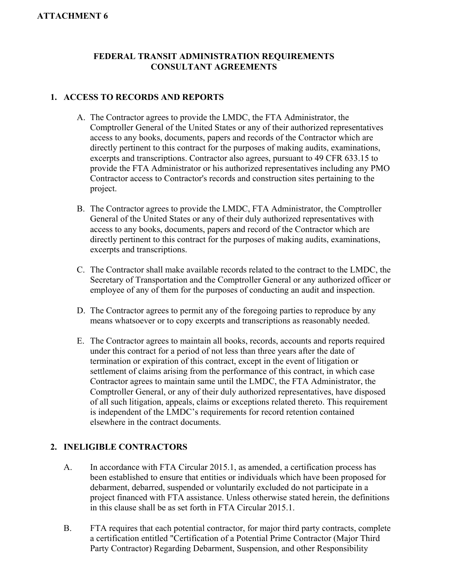## **FEDERAL TRANSIT ADMINISTRATION REQUIREMENTS CONSULTANT AGREEMENTS**

## **1. ACCESS TO RECORDS AND REPORTS**

- A. The Contractor agrees to provide the LMDC, the FTA Administrator, the Comptroller General of the United States or any of their authorized representatives access to any books, documents, papers and records of the Contractor which are directly pertinent to this contract for the purposes of making audits, examinations, excerpts and transcriptions. Contractor also agrees, pursuant to 49 CFR 633.15 to provide the FTA Administrator or his authorized representatives including any PMO Contractor access to Contractor's records and construction sites pertaining to the project.
- B. The Contractor agrees to provide the LMDC, FTA Administrator, the Comptroller General of the United States or any of their duly authorized representatives with access to any books, documents, papers and record of the Contractor which are directly pertinent to this contract for the purposes of making audits, examinations, excerpts and transcriptions.
- C. The Contractor shall make available records related to the contract to the LMDC, the Secretary of Transportation and the Comptroller General or any authorized officer or employee of any of them for the purposes of conducting an audit and inspection.
- D. The Contractor agrees to permit any of the foregoing parties to reproduce by any means whatsoever or to copy excerpts and transcriptions as reasonably needed.
- E. The Contractor agrees to maintain all books, records, accounts and reports required under this contract for a period of not less than three years after the date of termination or expiration of this contract, except in the event of litigation or settlement of claims arising from the performance of this contract, in which case Contractor agrees to maintain same until the LMDC, the FTA Administrator, the Comptroller General, or any of their duly authorized representatives, have disposed of all such litigation, appeals, claims or exceptions related thereto. This requirement is independent of the LMDC's requirements for record retention contained elsewhere in the contract documents.

## **2. INELIGIBLE CONTRACTORS**

- A. In accordance with FTA Circular 2015.1, as amended, a certification process has been established to ensure that entities or individuals which have been proposed for debarment, debarred, suspended or voluntarily excluded do not participate in a project financed with FTA assistance. Unless otherwise stated herein, the definitions in this clause shall be as set forth in FTA Circular 2015.1.
- B. FTA requires that each potential contractor, for major third party contracts, complete a certification entitled "Certification of a Potential Prime Contractor (Major Third Party Contractor) Regarding Debarment, Suspension, and other Responsibility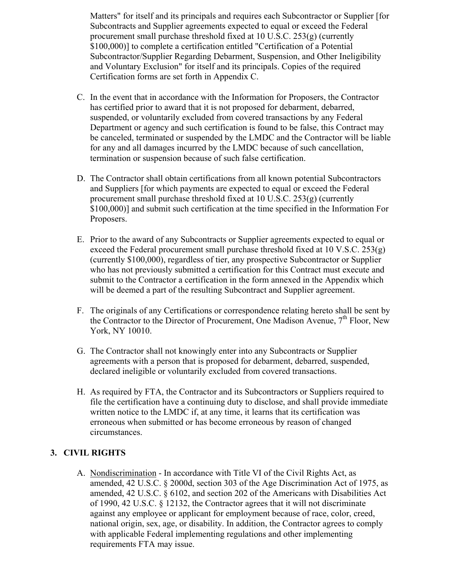Matters" for itself and its principals and requires each Subcontractor or Supplier [for Subcontracts and Supplier agreements expected to equal or exceed the Federal procurement small purchase threshold fixed at 10 U.S.C. 253(g) (currently \$100,000)] to complete a certification entitled "Certification of a Potential Subcontractor/Supplier Regarding Debarment, Suspension, and Other Ineligibility and Voluntary Exclusion" for itself and its principals. Copies of the required Certification forms are set forth in Appendix C.

- C. In the event that in accordance with the Information for Proposers, the Contractor has certified prior to award that it is not proposed for debarment, debarred, suspended, or voluntarily excluded from covered transactions by any Federal Department or agency and such certification is found to be false, this Contract may be canceled, terminated or suspended by the LMDC and the Contractor will be liable for any and all damages incurred by the LMDC because of such cancellation, termination or suspension because of such false certification.
- D. The Contractor shall obtain certifications from all known potential Subcontractors and Suppliers [for which payments are expected to equal or exceed the Federal procurement small purchase threshold fixed at 10 U.S.C. 253(g) (currently \$100,000)] and submit such certification at the time specified in the Information For Proposers.
- E. Prior to the award of any Subcontracts or Supplier agreements expected to equal or exceed the Federal procurement small purchase threshold fixed at 10 V.S.C. 253(g) (currently \$100,000), regardless of tier, any prospective Subcontractor or Supplier who has not previously submitted a certification for this Contract must execute and submit to the Contractor a certification in the form annexed in the Appendix which will be deemed a part of the resulting Subcontract and Supplier agreement.
- F. The originals of any Certifications or correspondence relating hereto shall be sent by the Contractor to the Director of Procurement, One Madison Avenue,  $7<sup>th</sup>$  Floor, New York, NY 10010.
- G. The Contractor shall not knowingly enter into any Subcontracts or Supplier agreements with a person that is proposed for debarment, debarred, suspended, declared ineligible or voluntarily excluded from covered transactions.
- H. As required by FTA, the Contractor and its Subcontractors or Suppliers required to file the certification have a continuing duty to disclose, and shall provide immediate written notice to the LMDC if, at any time, it learns that its certification was erroneous when submitted or has become erroneous by reason of changed circumstances.

## **3. CIVIL RIGHTS**

A. Nondiscrimination - In accordance with Title VI of the Civil Rights Act, as amended, 42 U.S.C. § 2000d, section 303 of the Age Discrimination Act of 1975, as amended, 42 U.S.C. § 6102, and section 202 of the Americans with Disabilities Act of 1990, 42 U.S.C. § 12132, the Contractor agrees that it will not discriminate against any employee or applicant for employment because of race, color, creed, national origin, sex, age, or disability. In addition, the Contractor agrees to comply with applicable Federal implementing regulations and other implementing requirements FTA may issue.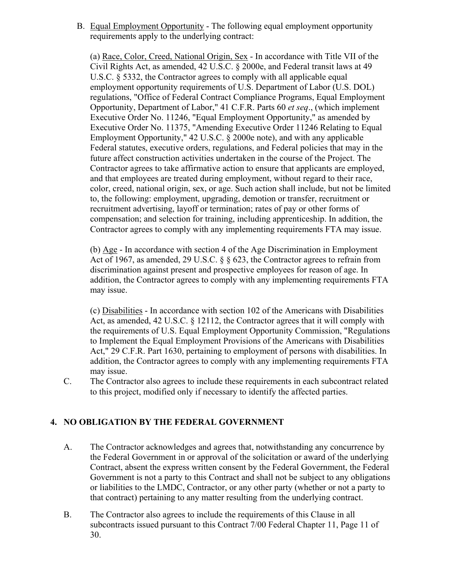B. Equal Employment Opportunity - The following equal employment opportunity requirements apply to the underlying contract:

(a) Race, Color, Creed, National Origin, Sex - In accordance with Title VII of the Civil Rights Act, as amended, 42 U.S.C. § 2000e, and Federal transit laws at 49 U.S.C. § 5332, the Contractor agrees to comply with all applicable equal employment opportunity requirements of U.S. Department of Labor (U.S. DOL) regulations, "Office of Federal Contract Compliance Programs, Equal Employment Opportunity, Department of Labor," 41 C.F.R. Parts 60 *et seq*., (which implement Executive Order No. 11246, "Equal Employment Opportunity," as amended by Executive Order No. 11375, "Amending Executive Order 11246 Relating to Equal Employment Opportunity," 42 U.S.C. § 2000e note), and with any applicable Federal statutes, executive orders, regulations, and Federal policies that may in the future affect construction activities undertaken in the course of the Project. The Contractor agrees to take affirmative action to ensure that applicants are employed, and that employees are treated during employment, without regard to their race, color, creed, national origin, sex, or age. Such action shall include, but not be limited to, the following: employment, upgrading, demotion or transfer, recruitment or recruitment advertising, layoff or termination; rates of pay or other forms of compensation; and selection for training, including apprenticeship. In addition, the Contractor agrees to comply with any implementing requirements FTA may issue.

(b) Age - In accordance with section 4 of the Age Discrimination in Employment Act of 1967, as amended, 29 U.S.C. § § 623, the Contractor agrees to refrain from discrimination against present and prospective employees for reason of age. In addition, the Contractor agrees to comply with any implementing requirements FTA may issue.

(c) Disabilities - In accordance with section 102 of the Americans with Disabilities Act, as amended, 42 U.S.C. § 12112, the Contractor agrees that it will comply with the requirements of U.S. Equal Employment Opportunity Commission, "Regulations to Implement the Equal Employment Provisions of the Americans with Disabilities Act," 29 C.F.R. Part 1630, pertaining to employment of persons with disabilities. In addition, the Contractor agrees to comply with any implementing requirements FTA may issue.

C. The Contractor also agrees to include these requirements in each subcontract related to this project, modified only if necessary to identify the affected parties.

## **4. NO OBLIGATION BY THE FEDERAL GOVERNMENT**

- A. The Contractor acknowledges and agrees that, notwithstanding any concurrence by the Federal Government in or approval of the solicitation or award of the underlying Contract, absent the express written consent by the Federal Government, the Federal Government is not a party to this Contract and shall not be subject to any obligations or liabilities to the LMDC, Contractor, or any other party (whether or not a party to that contract) pertaining to any matter resulting from the underlying contract.
- B. The Contractor also agrees to include the requirements of this Clause in all subcontracts issued pursuant to this Contract 7/00 Federal Chapter 11, Page 11 of 30.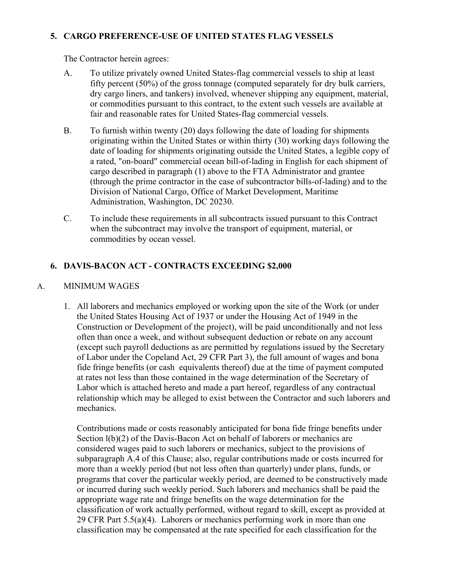## **5. CARGO PREFERENCE-USE OF UNITED STATES FLAG VESSELS**

The Contractor herein agrees:

- A. To utilize privately owned United States-flag commercial vessels to ship at least fifty percent (50%) of the gross tonnage (computed separately for dry bulk carriers, dry cargo liners, and tankers) involved, whenever shipping any equipment, material, or commodities pursuant to this contract, to the extent such vessels are available at fair and reasonable rates for United States-flag commercial vessels.
- B. To furnish within twenty (20) days following the date of loading for shipments originating within the United States or within thirty (30) working days following the date of loading for shipments originating outside the United States, a legible copy of a rated, "on-board" commercial ocean bill-of-lading in English for each shipment of cargo described in paragraph (1) above to the FTA Administrator and grantee (through the prime contractor in the case of subcontractor bills-of-lading) and to the Division of National Cargo, Office of Market Development, Maritime Administration, Washington, DC 20230.
- C. To include these requirements in all subcontracts issued pursuant to this Contract when the subcontract may involve the transport of equipment, material, or commodities by ocean vessel.

# **6. DAVIS-BACON ACT - CONTRACTS EXCEEDING \$2,000**

## A. MINIMUM WAGES

1. All laborers and mechanics employed or working upon the site of the Work (or under the United States Housing Act of 1937 or under the Housing Act of 1949 in the Construction or Development of the project), will be paid unconditionally and not less often than once a week, and without subsequent deduction or rebate on any account (except such payroll deductions as are permitted by regulations issued by the Secretary of Labor under the Copeland Act, 29 CFR Part 3), the full amount of wages and bona fide fringe benefits (or cash equivalents thereof) due at the time of payment computed at rates not less than those contained in the wage determination of the Secretary of Labor which is attached hereto and made a part hereof, regardless of any contractual relationship which may be alleged to exist between the Contractor and such laborers and mechanics.

Contributions made or costs reasonably anticipated for bona fide fringe benefits under Section  $l(b)(2)$  of the Davis-Bacon Act on behalf of laborers or mechanics are considered wages paid to such laborers or mechanics, subject to the provisions of subparagraph A.4 of this Clause; also, regular contributions made or costs incurred for more than a weekly period (but not less often than quarterly) under plans, funds, or programs that cover the particular weekly period, are deemed to be constructively made or incurred during such weekly period. Such laborers and mechanics shall be paid the appropriate wage rate and fringe benefits on the wage determination for the classification of work actually performed, without regard to skill, except as provided at 29 CFR Part 5.5(a)(4). Laborers or mechanics performing work in more than one classification may be compensated at the rate specified for each classification for the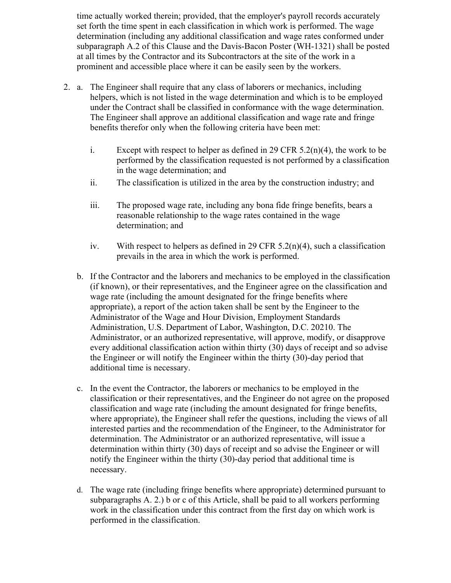time actually worked therein; provided, that the employer's payroll records accurately set forth the time spent in each classification in which work is performed. The wage determination (including any additional classification and wage rates conformed under subparagraph A.2 of this Clause and the Davis-Bacon Poster (WH-1321) shall be posted at all times by the Contractor and its Subcontractors at the site of the work in a prominent and accessible place where it can be easily seen by the workers.

- 2. a. The Engineer shall require that any class of laborers or mechanics, including helpers, which is not listed in the wage determination and which is to be employed under the Contract shall be classified in conformance with the wage determination. The Engineer shall approve an additional classification and wage rate and fringe benefits therefor only when the following criteria have been met:
	- i. Except with respect to helper as defined in 29 CFR  $5.2(n)(4)$ , the work to be performed by the classification requested is not performed by a classification in the wage determination; and
	- ii. The classification is utilized in the area by the construction industry; and
	- iii. The proposed wage rate, including any bona fide fringe benefits, bears a reasonable relationship to the wage rates contained in the wage determination; and
	- iv. With respect to helpers as defined in 29 CFR 5.2(n)(4), such a classification prevails in the area in which the work is performed.
	- b. If the Contractor and the laborers and mechanics to be employed in the classification (if known), or their representatives, and the Engineer agree on the classification and wage rate (including the amount designated for the fringe benefits where appropriate), a report of the action taken shall be sent by the Engineer to the Administrator of the Wage and Hour Division, Employment Standards Administration, U.S. Department of Labor, Washington, D.C. 20210. The Administrator, or an authorized representative, will approve, modify, or disapprove every additional classification action within thirty (30) days of receipt and so advise the Engineer or will notify the Engineer within the thirty (30)-day period that additional time is necessary.
	- c. In the event the Contractor, the laborers or mechanics to be employed in the classification or their representatives, and the Engineer do not agree on the proposed classification and wage rate (including the amount designated for fringe benefits, where appropriate), the Engineer shall refer the questions, including the views of all interested parties and the recommendation of the Engineer, to the Administrator for determination. The Administrator or an authorized representative, will issue a determination within thirty (30) days of receipt and so advise the Engineer or will notify the Engineer within the thirty (30)-day period that additional time is necessary.
	- d. The wage rate (including fringe benefits where appropriate) determined pursuant to subparagraphs A. 2.) b or c of this Article, shall be paid to all workers performing work in the classification under this contract from the first day on which work is performed in the classification.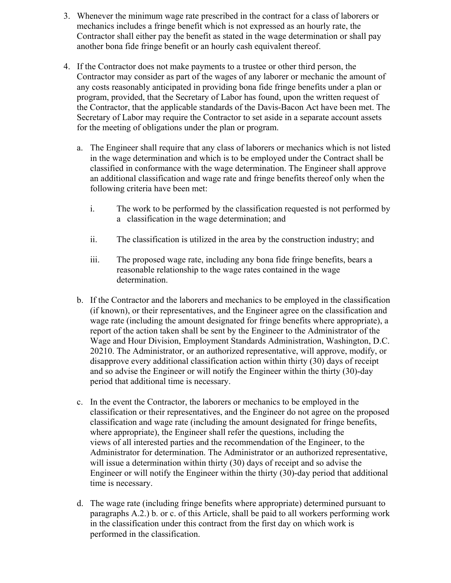- 3. Whenever the minimum wage rate prescribed in the contract for a class of laborers or mechanics includes a fringe benefit which is not expressed as an hourly rate, the Contractor shall either pay the benefit as stated in the wage determination or shall pay another bona fide fringe benefit or an hourly cash equivalent thereof.
- 4. If the Contractor does not make payments to a trustee or other third person, the Contractor may consider as part of the wages of any laborer or mechanic the amount of any costs reasonably anticipated in providing bona fide fringe benefits under a plan or program, provided, that the Secretary of Labor has found, upon the written request of the Contractor, that the applicable standards of the Davis-Bacon Act have been met. The Secretary of Labor may require the Contractor to set aside in a separate account assets for the meeting of obligations under the plan or program.
	- a. The Engineer shall require that any class of laborers or mechanics which is not listed in the wage determination and which is to be employed under the Contract shall be classified in conformance with the wage determination. The Engineer shall approve an additional classification and wage rate and fringe benefits thereof only when the following criteria have been met:
		- i. The work to be performed by the classification requested is not performed by a classification in the wage determination; and
		- ii. The classification is utilized in the area by the construction industry; and
		- iii. The proposed wage rate, including any bona fide fringe benefits, bears a reasonable relationship to the wage rates contained in the wage determination.
	- b. If the Contractor and the laborers and mechanics to be employed in the classification (if known), or their representatives, and the Engineer agree on the classification and wage rate (including the amount designated for fringe benefits where appropriate), a report of the action taken shall be sent by the Engineer to the Administrator of the Wage and Hour Division, Employment Standards Administration, Washington, D.C. 20210. The Administrator, or an authorized representative, will approve, modify, or disapprove every additional classification action within thirty (30) days of receipt and so advise the Engineer or will notify the Engineer within the thirty (30)-day period that additional time is necessary.
	- c. In the event the Contractor, the laborers or mechanics to be employed in the classification or their representatives, and the Engineer do not agree on the proposed classification and wage rate (including the amount designated for fringe benefits, where appropriate), the Engineer shall refer the questions, including the views of all interested parties and the recommendation of the Engineer, to the Administrator for determination. The Administrator or an authorized representative, will issue a determination within thirty (30) days of receipt and so advise the Engineer or will notify the Engineer within the thirty (30)-day period that additional time is necessary.
	- d. The wage rate (including fringe benefits where appropriate) determined pursuant to paragraphs A.2.) b. or c. of this Article, shall be paid to all workers performing work in the classification under this contract from the first day on which work is performed in the classification.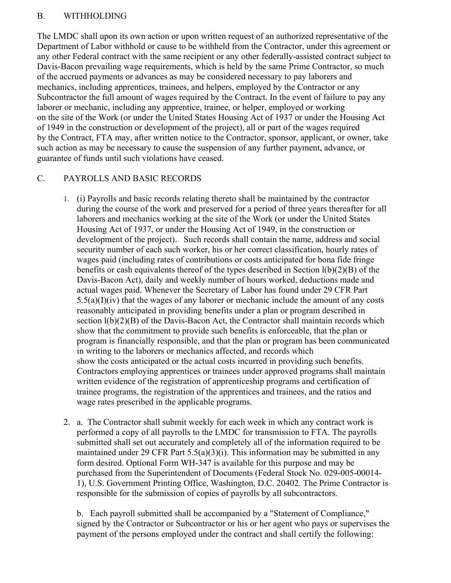## B. WITHHOLDING

The LMDC shall upon its own action or upon written request of an authorized representative of the Department of Labor withhold or cause to be withheld from the Contractor, under this agreement or any other Federal contract with the same recipient or any other federally-assisted contract subject to Davis-Bacon prevailing wage requirements, which is held by the same Prime Contractor, so much of the accrued payments or advances as may be considered necessary to pay laborers and mechanics, including apprentices, trainees, and helpers, employed by the Contractor or any Subcontractor the full amount of wages required by the Contract. In the event of failure to pay any laborer or mechanic, including any apprentice, trainee, or helper, employed or working on the site of the Work (or under the United States Housing Act of 1937 or under the Housing Act of 1949 in the construction or development of the project), all or part of the wages required by the Contract, FTA may, after written notice to the Contractor, sponsor, applicant, or owner, take such action as may be necessary to cause the suspension of any further payment, advance, or guarantee of funds until such violations have ceased.

## C. PAYROLLS AND BASIC RECORDS

- 1. (i) Payrolls and basic records relating thereto shall be maintained by the contractor during the course of the work and preserved for a period of three years thereafter for all laborers and mechanics working at the site of the Work (or under the United States Housing Act of 1937, or under the Housing Act of 1949, in the construction or development of the project). Such records shall contain the name, address and social security number of each such worker, his or her correct classification, hourly rates of wages paid (including rates of contributions or costs anticipated for bona fide fringe benefits or cash equivalents thereof of the types described in Section l(b)(2)(B) of the Davis-Bacon Act), daily and weekly number of hours worked, deductions made and actual wages paid. Whenever the Secretary of Labor has found under 29 CFR Part  $5.5(a)(I)(iv)$  that the wages of any laborer or mechanic include the amount of any costs reasonably anticipated in providing benefits under a plan or program described in section  $l(b)(2)(B)$  of the Davis-Bacon Act, the Contractor shall maintain records which show that the commitment to provide such benefits is enforceable, that the plan or program is financially responsible, and that the plan or program has been communicated in writing to the laborers or mechanics affected, and records which show the costs anticipated or the actual costs incurred in providing such benefits. Contractors employing apprentices or trainees under approved programs shall maintain written evidence of the registration of apprenticeship programs and certification of trainee programs, the registration of the apprentices and trainees, and the ratios and wage rates prescribed in the applicable programs.
- 2. a. The Contractor shall submit weekly for each week in which any contract work is performed a copy of all payrolls to the LMDC for transmission to FTA. The payrolls submitted shall set out accurately and completely all of the information required to be maintained under 29 CFR Part  $5.5(a)(3)(i)$ . This information may be submitted in any form desired. Optional Form WH-347 is available for this purpose and may be purchased from the Superintendent of Documents (Federal Stock No. 029-005-00014- 1), U.S. Government Printing Office, Washington, D.C. 20402. The Prime Contractor is responsible for the submission of copies of payrolls by all subcontractors.

b. Each payroll submitted shall be accompanied by a "Statement of Compliance," signed by the Contractor or Subcontractor or his or her agent who pays or supervises the payment of the persons employed under the contract and shall certify the following: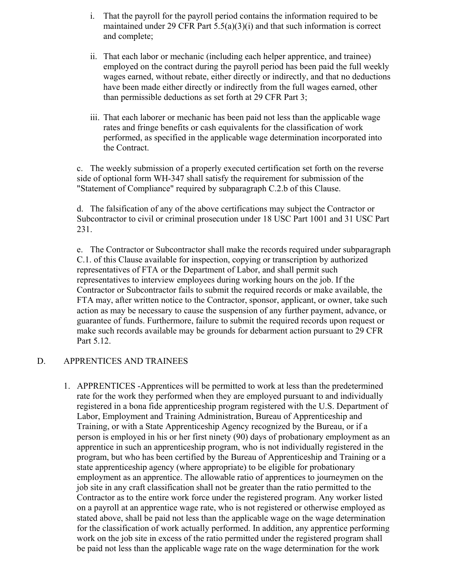- i. That the payroll for the payroll period contains the information required to be maintained under 29 CFR Part 5.5(a)(3)(i) and that such information is correct and complete;
- ii. That each labor or mechanic (including each helper apprentice, and trainee) employed on the contract during the payroll period has been paid the full weekly wages earned, without rebate, either directly or indirectly, and that no deductions have been made either directly or indirectly from the full wages earned, other than permissible deductions as set forth at 29 CFR Part 3;
- iii. That each laborer or mechanic has been paid not less than the applicable wage rates and fringe benefits or cash equivalents for the classification of work performed, as specified in the applicable wage determination incorporated into the Contract.

c. The weekly submission of a properly executed certification set forth on the reverse side of optional form WH-347 shall satisfy the requirement for submission of the "Statement of Compliance" required by subparagraph C.2.b of this Clause.

d. The falsification of any of the above certifications may subject the Contractor or Subcontractor to civil or criminal prosecution under 18 USC Part 1001 and 31 USC Part 231.

e. The Contractor or Subcontractor shall make the records required under subparagraph C.1. of this Clause available for inspection, copying or transcription by authorized representatives of FTA or the Department of Labor, and shall permit such representatives to interview employees during working hours on the job. If the Contractor or Subcontractor fails to submit the required records or make available, the FTA may, after written notice to the Contractor, sponsor, applicant, or owner, take such action as may be necessary to cause the suspension of any further payment, advance, or guarantee of funds. Furthermore, failure to submit the required records upon request or make such records available may be grounds for debarment action pursuant to 29 CFR Part 5.12.

#### D. APPRENTICES AND TRAINEES

1. APPRENTICES -Apprentices will be permitted to work at less than the predetermined rate for the work they performed when they are employed pursuant to and individually registered in a bona fide apprenticeship program registered with the U.S. Department of Labor, Employment and Training Administration, Bureau of Apprenticeship and Training, or with a State Apprenticeship Agency recognized by the Bureau, or if a person is employed in his or her first ninety (90) days of probationary employment as an apprentice in such an apprenticeship program, who is not individually registered in the program, but who has been certified by the Bureau of Apprenticeship and Training or a state apprenticeship agency (where appropriate) to be eligible for probationary employment as an apprentice. The allowable ratio of apprentices to journeymen on the job site in any craft classification shall not be greater than the ratio permitted to the Contractor as to the entire work force under the registered program. Any worker listed on a payroll at an apprentice wage rate, who is not registered or otherwise employed as stated above, shall be paid not less than the applicable wage on the wage determination for the classification of work actually performed. In addition, any apprentice performing work on the job site in excess of the ratio permitted under the registered program shall be paid not less than the applicable wage rate on the wage determination for the work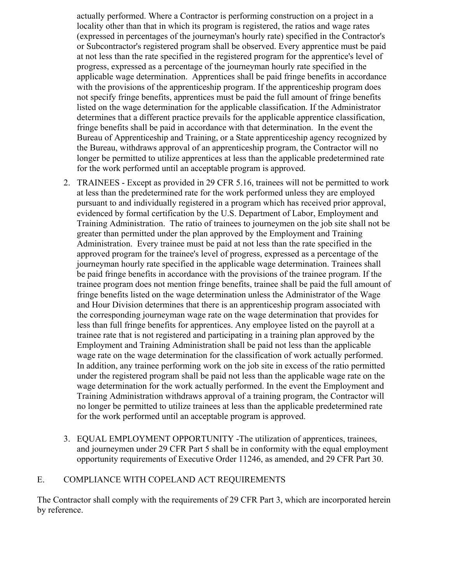actually performed. Where a Contractor is performing construction on a project in a locality other than that in which its program is registered, the ratios and wage rates (expressed in percentages of the journeyman's hourly rate) specified in the Contractor's or Subcontractor's registered program shall be observed. Every apprentice must be paid at not less than the rate specified in the registered program for the apprentice's level of progress, expressed as a percentage of the journeyman hourly rate specified in the applicable wage determination. Apprentices shall be paid fringe benefits in accordance with the provisions of the apprenticeship program. If the apprenticeship program does not specify fringe benefits, apprentices must be paid the full amount of fringe benefits listed on the wage determination for the applicable classification. If the Administrator determines that a different practice prevails for the applicable apprentice classification, fringe benefits shall be paid in accordance with that determination. In the event the Bureau of Apprenticeship and Training, or a State apprenticeship agency recognized by the Bureau, withdraws approval of an apprenticeship program, the Contractor will no longer be permitted to utilize apprentices at less than the applicable predetermined rate for the work performed until an acceptable program is approved.

- 2. TRAINEES Except as provided in 29 CFR 5.16, trainees will not be permitted to work at less than the predetermined rate for the work performed unless they are employed pursuant to and individually registered in a program which has received prior approval, evidenced by formal certification by the U.S. Department of Labor, Employment and Training Administration. The ratio of trainees to journeymen on the job site shall not be greater than permitted under the plan approved by the Employment and Training Administration. Every trainee must be paid at not less than the rate specified in the approved program for the trainee's level of progress, expressed as a percentage of the journeyman hourly rate specified in the applicable wage determination. Trainees shall be paid fringe benefits in accordance with the provisions of the trainee program. If the trainee program does not mention fringe benefits, trainee shall be paid the full amount of fringe benefits listed on the wage determination unless the Administrator of the Wage and Hour Division determines that there is an apprenticeship program associated with the corresponding journeyman wage rate on the wage determination that provides for less than full fringe benefits for apprentices. Any employee listed on the payroll at a trainee rate that is not registered and participating in a training plan approved by the Employment and Training Administration shall be paid not less than the applicable wage rate on the wage determination for the classification of work actually performed. In addition, any trainee performing work on the job site in excess of the ratio permitted under the registered program shall be paid not less than the applicable wage rate on the wage determination for the work actually performed. In the event the Employment and Training Administration withdraws approval of a training program, the Contractor will no longer be permitted to utilize trainees at less than the applicable predetermined rate for the work performed until an acceptable program is approved.
- 3. EQUAL EMPLOYMENT OPPORTUNITY -The utilization of apprentices, trainees, and journeymen under 29 CFR Part 5 shall be in conformity with the equal employment opportunity requirements of Executive Order 11246, as amended, and 29 CFR Part 30.

## E. COMPLIANCE WITH COPELAND ACT REQUIREMENTS

The Contractor shall comply with the requirements of 29 CFR Part 3, which are incorporated herein by reference.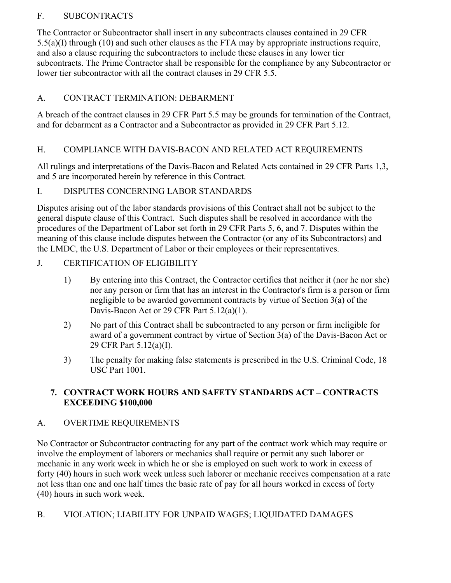## F. SUBCONTRACTS

The Contractor or Subcontractor shall insert in any subcontracts clauses contained in 29 CFR 5.5(a)(I) through (10) and such other clauses as the FTA may by appropriate instructions require, and also a clause requiring the subcontractors to include these clauses in any lower tier subcontracts. The Prime Contractor shall be responsible for the compliance by any Subcontractor or lower tier subcontractor with all the contract clauses in 29 CFR 5.5.

# A. CONTRACT TERMINATION: DEBARMENT

A breach of the contract clauses in 29 CFR Part 5.5 may be grounds for termination of the Contract, and for debarment as a Contractor and a Subcontractor as provided in 29 CFR Part 5.12.

# H. COMPLIANCE WITH DAVIS-BACON AND RELATED ACT REQUIREMENTS

All rulings and interpretations of the Davis-Bacon and Related Acts contained in 29 CFR Parts 1,3, and 5 are incorporated herein by reference in this Contract.

# I. DISPUTES CONCERNING LABOR STANDARDS

Disputes arising out of the labor standards provisions of this Contract shall not be subject to the general dispute clause of this Contract. Such disputes shall be resolved in accordance with the procedures of the Department of Labor set forth in 29 CFR Parts 5, 6, and 7. Disputes within the meaning of this clause include disputes between the Contractor (or any of its Subcontractors) and the LMDC, the U.S. Department of Labor or their employees or their representatives.

# J. CERTIFICATION OF ELIGIBILITY

- 1) By entering into this Contract, the Contractor certifies that neither it (nor he nor she) nor any person or firm that has an interest in the Contractor's firm is a person or firm negligible to be awarded government contracts by virtue of Section 3(a) of the Davis-Bacon Act or 29 CFR Part 5.12(a)(1).
- 2) No part of this Contract shall be subcontracted to any person or firm ineligible for award of a government contract by virtue of Section 3(a) of the Davis-Bacon Act or 29 CFR Part 5.12(a)(I).
- 3) The penalty for making false statements is prescribed in the U.S. Criminal Code, 18 USC Part 1001.

# **7. CONTRACT WORK HOURS AND SAFETY STANDARDS ACT – CONTRACTS EXCEEDING \$100,000**

# A. OVERTIME REQUIREMENTS

No Contractor or Subcontractor contracting for any part of the contract work which may require or involve the employment of laborers or mechanics shall require or permit any such laborer or mechanic in any work week in which he or she is employed on such work to work in excess of forty (40) hours in such work week unless such laborer or mechanic receives compensation at a rate not less than one and one half times the basic rate of pay for all hours worked in excess of forty (40) hours in such work week.

# B. VIOLATION; LIABILITY FOR UNPAID WAGES; LIQUIDATED DAMAGES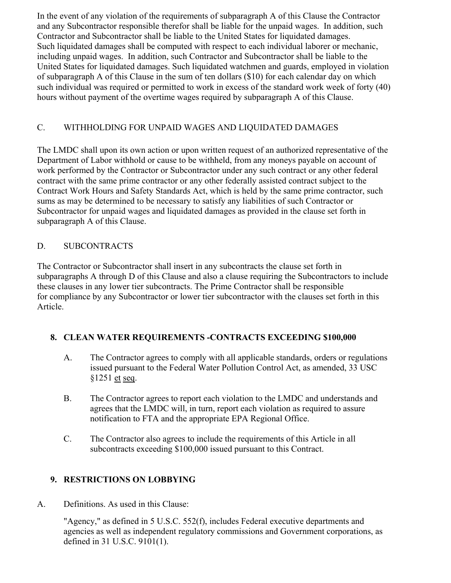In the event of any violation of the requirements of subparagraph A of this Clause the Contractor and any Subcontractor responsible therefor shall be liable for the unpaid wages. In addition, such Contractor and Subcontractor shall be liable to the United States for liquidated damages. Such liquidated damages shall be computed with respect to each individual laborer or mechanic, including unpaid wages. In addition, such Contractor and Subcontractor shall be liable to the United States for liquidated damages. Such liquidated watchmen and guards, employed in violation of subparagraph A of this Clause in the sum of ten dollars (\$10) for each calendar day on which such individual was required or permitted to work in excess of the standard work week of forty (40) hours without payment of the overtime wages required by subparagraph A of this Clause.

# C. WITHHOLDING FOR UNPAID WAGES AND LIQUIDATED DAMAGES

The LMDC shall upon its own action or upon written request of an authorized representative of the Department of Labor withhold or cause to be withheld, from any moneys payable on account of work performed by the Contractor or Subcontractor under any such contract or any other federal contract with the same prime contractor or any other federally assisted contract subject to the Contract Work Hours and Safety Standards Act, which is held by the same prime contractor, such sums as may be determined to be necessary to satisfy any liabilities of such Contractor or Subcontractor for unpaid wages and liquidated damages as provided in the clause set forth in subparagraph A of this Clause.

## D. SUBCONTRACTS

The Contractor or Subcontractor shall insert in any subcontracts the clause set forth in subparagraphs A through D of this Clause and also a clause requiring the Subcontractors to include these clauses in any lower tier subcontracts. The Prime Contractor shall be responsible for compliance by any Subcontractor or lower tier subcontractor with the clauses set forth in this Article.

## **8. CLEAN WATER REQUIREMENTS -CONTRACTS EXCEEDING \$100,000**

- A. The Contractor agrees to comply with all applicable standards, orders or regulations issued pursuant to the Federal Water Pollution Control Act, as amended, 33 USC §1251 et seq.
- B. The Contractor agrees to report each violation to the LMDC and understands and agrees that the LMDC will, in turn, report each violation as required to assure notification to FTA and the appropriate EPA Regional Office.
- C. The Contractor also agrees to include the requirements of this Article in all subcontracts exceeding \$100,000 issued pursuant to this Contract.

## **9. RESTRICTIONS ON LOBBYING**

A. Definitions. As used in this Clause:

"Agency," as defined in 5 U.S.C. 552(f), includes Federal executive departments and agencies as well as independent regulatory commissions and Government corporations, as defined in 31 U.S.C. 9101(1).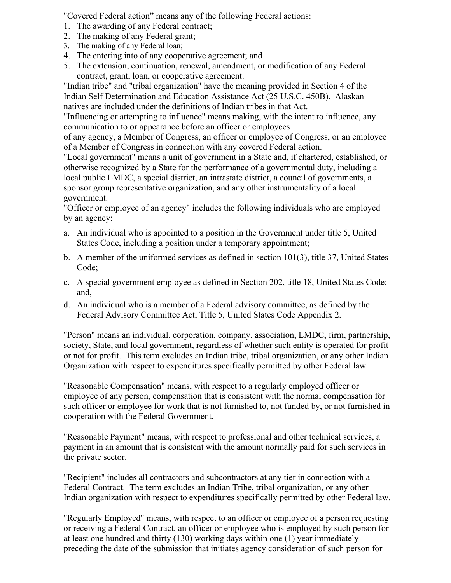"Covered Federal action" means any of the following Federal actions:

- 1. The awarding of any Federal contract;
- 2. The making of any Federal grant;
- 3. The making of any Federal loan;
- 4. The entering into of any cooperative agreement; and
- 5. The extension, continuation, renewal, amendment, or modification of any Federal contract, grant, loan, or cooperative agreement.

"Indian tribe" and "tribal organization" have the meaning provided in Section 4 of the Indian Self Determination and Education Assistance Act (25 U.S.C. 450B). Alaskan natives are included under the definitions of Indian tribes in that Act.

"Influencing or attempting to influence" means making, with the intent to influence, any communication to or appearance before an officer or employees

of any agency, a Member of Congress, an officer or employee of Congress, or an employee of a Member of Congress in connection with any covered Federal action.

"Local government" means a unit of government in a State and, if chartered, established, or otherwise recognized by a State for the performance of a governmental duty, including a local public LMDC, a special district, an intrastate district, a council of governments, a sponsor group representative organization, and any other instrumentality of a local government.

"Officer or employee of an agency" includes the following individuals who are employed by an agency:

- a. An individual who is appointed to a position in the Government under title 5, United States Code, including a position under a temporary appointment;
- b. A member of the uniformed services as defined in section 101(3), title 37, United States Code;
- c. A special government employee as defined in Section 202, title 18, United States Code; and,
- d. An individual who is a member of a Federal advisory committee, as defined by the Federal Advisory Committee Act, Title 5, United States Code Appendix 2.

"Person" means an individual, corporation, company, association, LMDC, firm, partnership, society, State, and local government, regardless of whether such entity is operated for profit or not for profit. This term excludes an Indian tribe, tribal organization, or any other Indian Organization with respect to expenditures specifically permitted by other Federal law.

"Reasonable Compensation" means, with respect to a regularly employed officer or employee of any person, compensation that is consistent with the normal compensation for such officer or employee for work that is not furnished to, not funded by, or not furnished in cooperation with the Federal Government.

"Reasonable Payment" means, with respect to professional and other technical services, a payment in an amount that is consistent with the amount normally paid for such services in the private sector.

"Recipient" includes all contractors and subcontractors at any tier in connection with a Federal Contract. The term excludes an Indian Tribe, tribal organization, or any other Indian organization with respect to expenditures specifically permitted by other Federal law.

"Regularly Employed" means, with respect to an officer or employee of a person requesting or receiving a Federal Contract, an officer or employee who is employed by such person for at least one hundred and thirty (130) working days within one (1) year immediately preceding the date of the submission that initiates agency consideration of such person for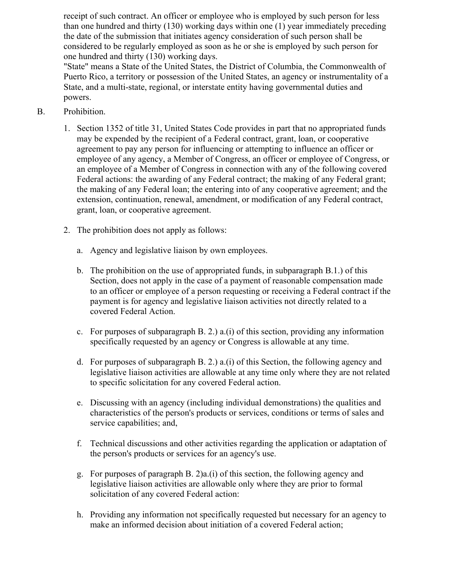receipt of such contract. An officer or employee who is employed by such person for less than one hundred and thirty (130) working days within one (1) year immediately preceding the date of the submission that initiates agency consideration of such person shall be considered to be regularly employed as soon as he or she is employed by such person for one hundred and thirty (130) working days.

"State" means a State of the United States, the District of Columbia, the Commonwealth of Puerto Rico, a territory or possession of the United States, an agency or instrumentality of a State, and a multi-state, regional, or interstate entity having governmental duties and powers.

- B. Prohibition.
	- 1. Section 1352 of title 31, United States Code provides in part that no appropriated funds may be expended by the recipient of a Federal contract, grant, loan, or cooperative agreement to pay any person for influencing or attempting to influence an officer or employee of any agency, a Member of Congress, an officer or employee of Congress, or an employee of a Member of Congress in connection with any of the following covered Federal actions: the awarding of any Federal contract; the making of any Federal grant; the making of any Federal loan; the entering into of any cooperative agreement; and the extension, continuation, renewal, amendment, or modification of any Federal contract, grant, loan, or cooperative agreement.
	- 2. The prohibition does not apply as follows:
		- a. Agency and legislative liaison by own employees.
		- b. The prohibition on the use of appropriated funds, in subparagraph B.1.) of this Section, does not apply in the case of a payment of reasonable compensation made to an officer or employee of a person requesting or receiving a Federal contract if the payment is for agency and legislative liaison activities not directly related to a covered Federal Action.
		- c. For purposes of subparagraph B. 2.) a.(i) of this section, providing any information specifically requested by an agency or Congress is allowable at any time.
		- d. For purposes of subparagraph B. 2.) a.(i) of this Section, the following agency and legislative liaison activities are allowable at any time only where they are not related to specific solicitation for any covered Federal action.
		- e. Discussing with an agency (including individual demonstrations) the qualities and characteristics of the person's products or services, conditions or terms of sales and service capabilities; and,
		- f. Technical discussions and other activities regarding the application or adaptation of the person's products or services for an agency's use.
		- g. For purposes of paragraph B. 2)a.(i) of this section, the following agency and legislative liaison activities are allowable only where they are prior to formal solicitation of any covered Federal action:
		- h. Providing any information not specifically requested but necessary for an agency to make an informed decision about initiation of a covered Federal action;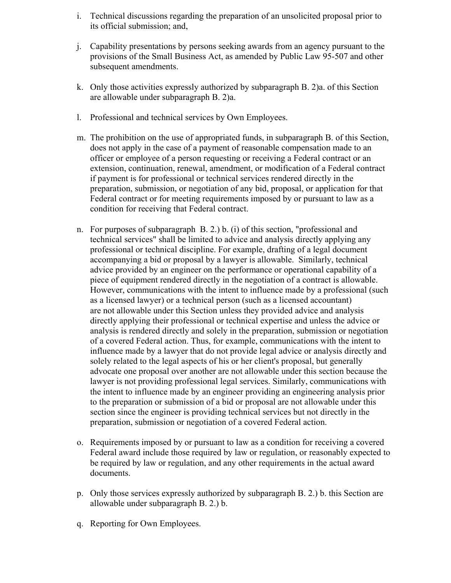- i. Technical discussions regarding the preparation of an unsolicited proposal prior to its official submission; and,
- j. Capability presentations by persons seeking awards from an agency pursuant to the provisions of the Small Business Act, as amended by Public Law 95-507 and other subsequent amendments.
- k. Only those activities expressly authorized by subparagraph B. 2)a. of this Section are allowable under subparagraph B. 2)a.
- l. Professional and technical services by Own Employees.
- m. The prohibition on the use of appropriated funds, in subparagraph B. of this Section, does not apply in the case of a payment of reasonable compensation made to an officer or employee of a person requesting or receiving a Federal contract or an extension, continuation, renewal, amendment, or modification of a Federal contract if payment is for professional or technical services rendered directly in the preparation, submission, or negotiation of any bid, proposal, or application for that Federal contract or for meeting requirements imposed by or pursuant to law as a condition for receiving that Federal contract.
- n. For purposes of subparagraph B. 2.) b. (i) of this section, "professional and technical services" shall be limited to advice and analysis directly applying any professional or technical discipline. For example, drafting of a legal document accompanying a bid or proposal by a lawyer is allowable. Similarly, technical advice provided by an engineer on the performance or operational capability of a piece of equipment rendered directly in the negotiation of a contract is allowable. However, communications with the intent to influence made by a professional (such as a licensed lawyer) or a technical person (such as a licensed accountant) are not allowable under this Section unless they provided advice and analysis directly applying their professional or technical expertise and unless the advice or analysis is rendered directly and solely in the preparation, submission or negotiation of a covered Federal action. Thus, for example, communications with the intent to influence made by a lawyer that do not provide legal advice or analysis directly and solely related to the legal aspects of his or her client's proposal, but generally advocate one proposal over another are not allowable under this section because the lawyer is not providing professional legal services. Similarly, communications with the intent to influence made by an engineer providing an engineering analysis prior to the preparation or submission of a bid or proposal are not allowable under this section since the engineer is providing technical services but not directly in the preparation, submission or negotiation of a covered Federal action.
- o. Requirements imposed by or pursuant to law as a condition for receiving a covered Federal award include those required by law or regulation, or reasonably expected to be required by law or regulation, and any other requirements in the actual award documents.
- p. Only those services expressly authorized by subparagraph B. 2.) b. this Section are allowable under subparagraph B. 2.) b.
- q. Reporting for Own Employees.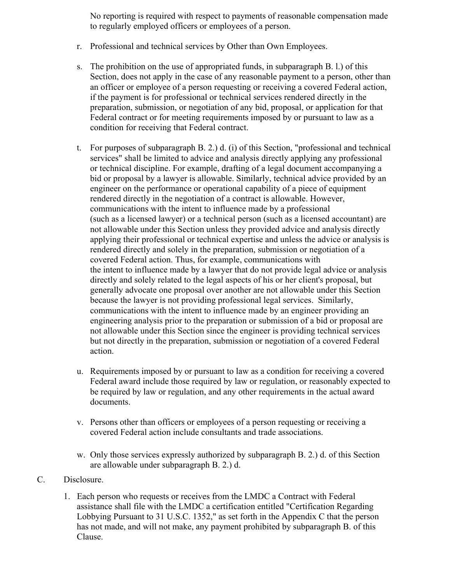No reporting is required with respect to payments of reasonable compensation made to regularly employed officers or employees of a person.

- r. Professional and technical services by Other than Own Employees.
- s. The prohibition on the use of appropriated funds, in subparagraph B. l.) of this Section, does not apply in the case of any reasonable payment to a person, other than an officer or employee of a person requesting or receiving a covered Federal action, if the payment is for professional or technical services rendered directly in the preparation, submission, or negotiation of any bid, proposal, or application for that Federal contract or for meeting requirements imposed by or pursuant to law as a condition for receiving that Federal contract.
- t. For purposes of subparagraph B. 2.) d. (i) of this Section, "professional and technical services" shall be limited to advice and analysis directly applying any professional or technical discipline. For example, drafting of a legal document accompanying a bid or proposal by a lawyer is allowable. Similarly, technical advice provided by an engineer on the performance or operational capability of a piece of equipment rendered directly in the negotiation of a contract is allowable. However, communications with the intent to influence made by a professional (such as a licensed lawyer) or a technical person (such as a licensed accountant) are not allowable under this Section unless they provided advice and analysis directly applying their professional or technical expertise and unless the advice or analysis is rendered directly and solely in the preparation, submission or negotiation of a covered Federal action. Thus, for example, communications with the intent to influence made by a lawyer that do not provide legal advice or analysis directly and solely related to the legal aspects of his or her client's proposal, but generally advocate one proposal over another are not allowable under this Section because the lawyer is not providing professional legal services. Similarly, communications with the intent to influence made by an engineer providing an engineering analysis prior to the preparation or submission of a bid or proposal are not allowable under this Section since the engineer is providing technical services but not directly in the preparation, submission or negotiation of a covered Federal action.
- u. Requirements imposed by or pursuant to law as a condition for receiving a covered Federal award include those required by law or regulation, or reasonably expected to be required by law or regulation, and any other requirements in the actual award documents.
- v. Persons other than officers or employees of a person requesting or receiving a covered Federal action include consultants and trade associations.
- w. Only those services expressly authorized by subparagraph B. 2.) d. of this Section are allowable under subparagraph B. 2.) d.

## C. Disclosure.

1. Each person who requests or receives from the LMDC a Contract with Federal assistance shall file with the LMDC a certification entitled "Certification Regarding Lobbying Pursuant to 31 U.S.C. 1352," as set forth in the Appendix C that the person has not made, and will not make, any payment prohibited by subparagraph B. of this Clause.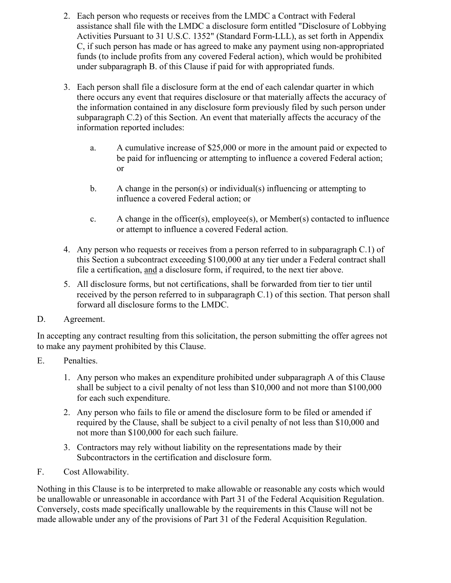- 2. Each person who requests or receives from the LMDC a Contract with Federal assistance shall file with the LMDC a disclosure form entitled "Disclosure of Lobbying Activities Pursuant to 31 U.S.C. 1352" (Standard Form-LLL), as set forth in Appendix C, if such person has made or has agreed to make any payment using non-appropriated funds (to include profits from any covered Federal action), which would be prohibited under subparagraph B. of this Clause if paid for with appropriated funds.
- 3. Each person shall file a disclosure form at the end of each calendar quarter in which there occurs any event that requires disclosure or that materially affects the accuracy of the information contained in any disclosure form previously filed by such person under subparagraph C.2) of this Section. An event that materially affects the accuracy of the information reported includes:
	- a. A cumulative increase of \$25,000 or more in the amount paid or expected to be paid for influencing or attempting to influence a covered Federal action; or
	- b. A change in the person(s) or individual(s) influencing or attempting to influence a covered Federal action; or
	- c. A change in the officer(s), employee(s), or Member(s) contacted to influence or attempt to influence a covered Federal action.
- 4. Any person who requests or receives from a person referred to in subparagraph C.1) of this Section a subcontract exceeding \$100,000 at any tier under a Federal contract shall file a certification, and a disclosure form, if required, to the next tier above.
- 5. All disclosure forms, but not certifications, shall be forwarded from tier to tier until received by the person referred to in subparagraph C.1) of this section. That person shall forward all disclosure forms to the LMDC.
- D. Agreement.

In accepting any contract resulting from this solicitation, the person submitting the offer agrees not to make any payment prohibited by this Clause.

- E. Penalties.
	- 1. Any person who makes an expenditure prohibited under subparagraph A of this Clause shall be subject to a civil penalty of not less than \$10,000 and not more than \$100,000 for each such expenditure.
	- 2. Any person who fails to file or amend the disclosure form to be filed or amended if required by the Clause, shall be subject to a civil penalty of not less than \$10,000 and not more than \$100,000 for each such failure.
	- 3. Contractors may rely without liability on the representations made by their Subcontractors in the certification and disclosure form.
- F. Cost Allowability.

Nothing in this Clause is to be interpreted to make allowable or reasonable any costs which would be unallowable or unreasonable in accordance with Part 31 of the Federal Acquisition Regulation. Conversely, costs made specifically unallowable by the requirements in this Clause will not be made allowable under any of the provisions of Part 31 of the Federal Acquisition Regulation.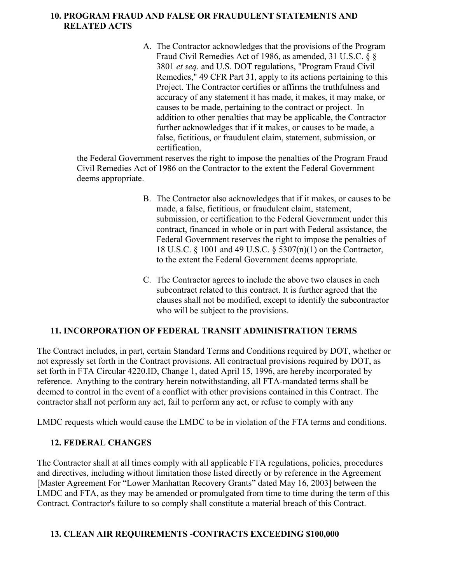#### **10. PROGRAM FRAUD AND FALSE OR FRAUDULENT STATEMENTS AND RELATED ACTS**

A. The Contractor acknowledges that the provisions of the Program Fraud Civil Remedies Act of 1986, as amended, 31 U.S.C. § § 3801 *et seq*. and U.S. DOT regulations, "Program Fraud Civil Remedies," 49 CFR Part 31, apply to its actions pertaining to this Project. The Contractor certifies or affirms the truthfulness and accuracy of any statement it has made, it makes, it may make, or causes to be made, pertaining to the contract or project. In addition to other penalties that may be applicable, the Contractor further acknowledges that if it makes, or causes to be made, a false, fictitious, or fraudulent claim, statement, submission, or certification,

the Federal Government reserves the right to impose the penalties of the Program Fraud Civil Remedies Act of 1986 on the Contractor to the extent the Federal Government deems appropriate.

- B. The Contractor also acknowledges that if it makes, or causes to be made, a false, fictitious, or fraudulent claim, statement, submission, or certification to the Federal Government under this contract, financed in whole or in part with Federal assistance, the Federal Government reserves the right to impose the penalties of 18 U.S.C. § 1001 and 49 U.S.C. § 5307(n)(1) on the Contractor, to the extent the Federal Government deems appropriate.
- C. The Contractor agrees to include the above two clauses in each subcontract related to this contract. It is further agreed that the clauses shall not be modified, except to identify the subcontractor who will be subject to the provisions.

## **11. INCORPORATION OF FEDERAL TRANSIT ADMINISTRATION TERMS**

The Contract includes, in part, certain Standard Terms and Conditions required by DOT, whether or not expressly set forth in the Contract provisions. All contractual provisions required by DOT, as set forth in FTA Circular 4220.ID, Change 1, dated April 15, 1996, are hereby incorporated by reference. Anything to the contrary herein notwithstanding, all FTA-mandated terms shall be deemed to control in the event of a conflict with other provisions contained in this Contract. The contractor shall not perform any act, fail to perform any act, or refuse to comply with any

LMDC requests which would cause the LMDC to be in violation of the FTA terms and conditions.

## **12. FEDERAL CHANGES**

The Contractor shall at all times comply with all applicable FTA regulations, policies, procedures and directives, including without limitation those listed directly or by reference in the Agreement [Master Agreement For "Lower Manhattan Recovery Grants" dated May 16, 2003] between the LMDC and FTA, as they may be amended or promulgated from time to time during the term of this Contract. Contractor's failure to so comply shall constitute a material breach of this Contract.

## **13. CLEAN AIR REQUIREMENTS -CONTRACTS EXCEEDING \$100,000**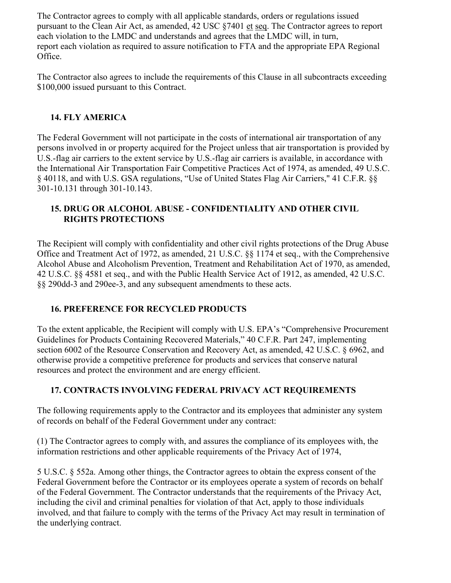The Contractor agrees to comply with all applicable standards, orders or regulations issued pursuant to the Clean Air Act, as amended, 42 USC §7401 et seq. The Contractor agrees to report each violation to the LMDC and understands and agrees that the LMDC will, in turn, report each violation as required to assure notification to FTA and the appropriate EPA Regional Office.

The Contractor also agrees to include the requirements of this Clause in all subcontracts exceeding \$100,000 issued pursuant to this Contract.

## **14. FLY AMERICA**

The Federal Government will not participate in the costs of international air transportation of any persons involved in or property acquired for the Project unless that air transportation is provided by U.S.-flag air carriers to the extent service by U.S.-flag air carriers is available, in accordance with the International Air Transportation Fair Competitive Practices Act of 1974, as amended, 49 U.S.C. § 40118, and with U.S. GSA regulations, "Use of United States Flag Air Carriers," 41 C.F.R. §§ 301-10.131 through 301-10.143.

## **15. DRUG OR ALCOHOL ABUSE - CONFIDENTIALITY AND OTHER CIVIL RIGHTS PROTECTIONS**

The Recipient will comply with confidentiality and other civil rights protections of the Drug Abuse Office and Treatment Act of 1972, as amended, 21 U.S.C. §§ 1174 et seq., with the Comprehensive Alcohol Abuse and Alcoholism Prevention, Treatment and Rehabilitation Act of 1970, as amended, 42 U.S.C. §§ 4581 et seq., and with the Public Health Service Act of 1912, as amended, 42 U.S.C. §§ 290dd-3 and 290ee-3, and any subsequent amendments to these acts.

## **16. PREFERENCE FOR RECYCLED PRODUCTS**

To the extent applicable, the Recipient will comply with U.S. EPA's "Comprehensive Procurement Guidelines for Products Containing Recovered Materials," 40 C.F.R. Part 247, implementing section 6002 of the Resource Conservation and Recovery Act, as amended, 42 U.S.C. § 6962, and otherwise provide a competitive preference for products and services that conserve natural resources and protect the environment and are energy efficient.

## **17. CONTRACTS INVOLVING FEDERAL PRIVACY ACT REQUIREMENTS**

The following requirements apply to the Contractor and its employees that administer any system of records on behalf of the Federal Government under any contract:

(1) The Contractor agrees to comply with, and assures the compliance of its employees with, the information restrictions and other applicable requirements of the Privacy Act of 1974,

5 U.S.C. § 552a. Among other things, the Contractor agrees to obtain the express consent of the Federal Government before the Contractor or its employees operate a system of records on behalf of the Federal Government. The Contractor understands that the requirements of the Privacy Act, including the civil and criminal penalties for violation of that Act, apply to those individuals involved, and that failure to comply with the terms of the Privacy Act may result in termination of the underlying contract.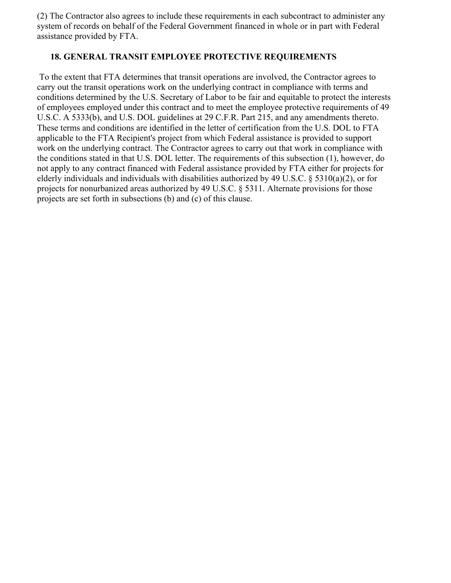(2) The Contractor also agrees to include these requirements in each subcontract to administer any system of records on behalf of the Federal Government financed in whole or in part with Federal assistance provided by FTA.

#### **18. GENERAL TRANSIT EMPLOYEE PROTECTIVE REQUIREMENTS**

 To the extent that FTA determines that transit operations are involved, the Contractor agrees to carry out the transit operations work on the underlying contract in compliance with terms and conditions determined by the U.S. Secretary of Labor to be fair and equitable to protect the interests of employees employed under this contract and to meet the employee protective requirements of 49 U.S.C. A 5333(b), and U.S. DOL guidelines at 29 C.F.R. Part 215, and any amendments thereto. These terms and conditions are identified in the letter of certification from the U.S. DOL to FTA applicable to the FTA Recipient's project from which Federal assistance is provided to support work on the underlying contract. The Contractor agrees to carry out that work in compliance with the conditions stated in that U.S. DOL letter. The requirements of this subsection (1), however, do not apply to any contract financed with Federal assistance provided by FTA either for projects for elderly individuals and individuals with disabilities authorized by 49 U.S.C. § 5310(a)(2), or for projects for nonurbanized areas authorized by 49 U.S.C. § 5311. Alternate provisions for those projects are set forth in subsections (b) and (c) of this clause.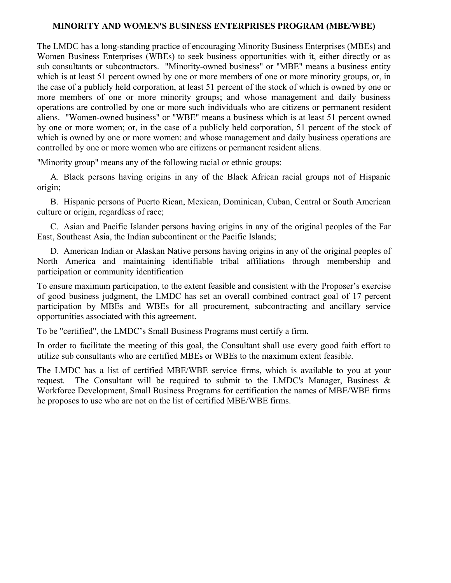#### **MINORITY AND WOMEN'S BUSINESS ENTERPRISES PROGRAM (MBE/WBE)**

The LMDC has a long-standing practice of encouraging Minority Business Enterprises (MBEs) and Women Business Enterprises (WBEs) to seek business opportunities with it, either directly or as sub consultants or subcontractors. "Minority-owned business" or "MBE" means a business entity which is at least 51 percent owned by one or more members of one or more minority groups, or, in the case of a publicly held corporation, at least 51 percent of the stock of which is owned by one or more members of one or more minority groups; and whose management and daily business operations are controlled by one or more such individuals who are citizens or permanent resident aliens. "Women-owned business" or "WBE" means a business which is at least 51 percent owned by one or more women; or, in the case of a publicly held corporation, 51 percent of the stock of which is owned by one or more women: and whose management and daily business operations are controlled by one or more women who are citizens or permanent resident aliens.

"Minority group" means any of the following racial or ethnic groups:

A. Black persons having origins in any of the Black African racial groups not of Hispanic origin;

B. Hispanic persons of Puerto Rican, Mexican, Dominican, Cuban, Central or South American culture or origin, regardless of race;

C. Asian and Pacific Islander persons having origins in any of the original peoples of the Far East, Southeast Asia, the Indian subcontinent or the Pacific Islands;

D. American Indian or Alaskan Native persons having origins in any of the original peoples of North America and maintaining identifiable tribal affiliations through membership and participation or community identification

To ensure maximum participation, to the extent feasible and consistent with the Proposer's exercise of good business judgment, the LMDC has set an overall combined contract goal of 17 percent participation by MBEs and WBEs for all procurement, subcontracting and ancillary service opportunities associated with this agreement.

To be "certified", the LMDC's Small Business Programs must certify a firm.

In order to facilitate the meeting of this goal, the Consultant shall use every good faith effort to utilize sub consultants who are certified MBEs or WBEs to the maximum extent feasible.

The LMDC has a list of certified MBE/WBE service firms, which is available to you at your request. The Consultant will be required to submit to the LMDC's Manager, Business & Workforce Development, Small Business Programs for certification the names of MBE/WBE firms he proposes to use who are not on the list of certified MBE/WBE firms.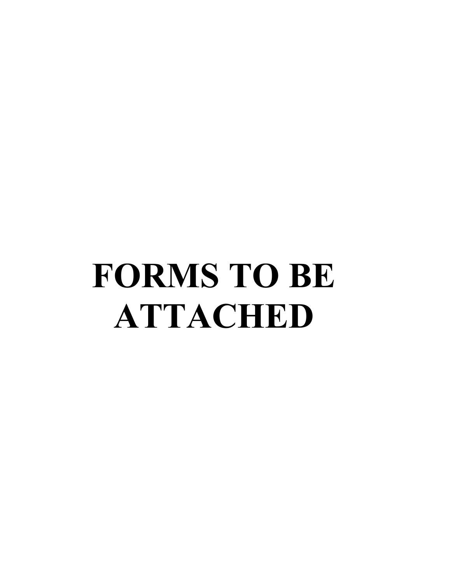# **FORMS TO BE ATTACHED**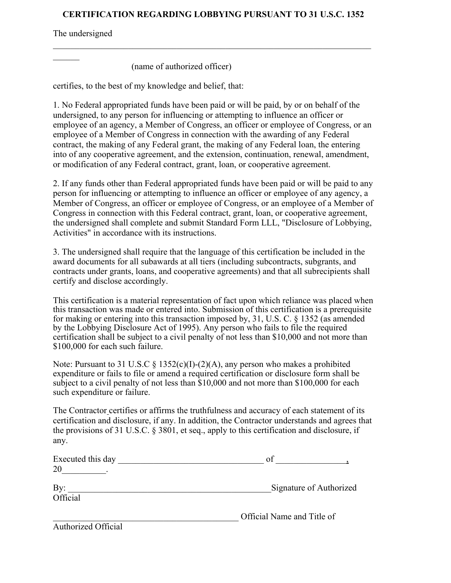### **CERTIFICATION REGARDING LOBBYING PURSUANT TO 31 U.S.C. 1352**

 $\mathcal{L}_\text{max} = \mathcal{L}_\text{max} = \mathcal{L}_\text{max} = \mathcal{L}_\text{max} = \mathcal{L}_\text{max} = \mathcal{L}_\text{max} = \mathcal{L}_\text{max} = \mathcal{L}_\text{max} = \mathcal{L}_\text{max} = \mathcal{L}_\text{max} = \mathcal{L}_\text{max} = \mathcal{L}_\text{max} = \mathcal{L}_\text{max} = \mathcal{L}_\text{max} = \mathcal{L}_\text{max} = \mathcal{L}_\text{max} = \mathcal{L}_\text{max} = \mathcal{L}_\text{max} = \mathcal{$ 

The undersigned

 $\mathcal{L}_\text{max}$ 

(name of authorized officer)

certifies, to the best of my knowledge and belief, that:

1. No Federal appropriated funds have been paid or will be paid, by or on behalf of the undersigned, to any person for influencing or attempting to influence an officer or employee of an agency, a Member of Congress, an officer or employee of Congress, or an employee of a Member of Congress in connection with the awarding of any Federal contract, the making of any Federal grant, the making of any Federal loan, the entering into of any cooperative agreement, and the extension, continuation, renewal, amendment, or modification of any Federal contract, grant, loan, or cooperative agreement.

2. If any funds other than Federal appropriated funds have been paid or will be paid to any person for influencing or attempting to influence an officer or employee of any agency, a Member of Congress, an officer or employee of Congress, or an employee of a Member of Congress in connection with this Federal contract, grant, loan, or cooperative agreement, the undersigned shall complete and submit Standard Form LLL, "Disclosure of Lobbying, Activities" in accordance with its instructions.

3. The undersigned shall require that the language of this certification be included in the award documents for all subawards at all tiers (including subcontracts, subgrants, and contracts under grants, loans, and cooperative agreements) and that all subrecipients shall certify and disclose accordingly.

This certification is a material representation of fact upon which reliance was placed when this transaction was made or entered into. Submission of this certification is a prerequisite for making or entering into this transaction imposed by, 31, U.S. C. § 1352 (as amended by the Lobbying Disclosure Act of 1995). Any person who fails to file the required certification shall be subject to a civil penalty of not less than \$10,000 and not more than \$100,000 for each such failure.

Note: Pursuant to 31 U.S.C § 1352(c)(I)-(2)(A), any person who makes a prohibited expenditure or fails to file or amend a required certification or disclosure form shall be subject to a civil penalty of not less than \$10,000 and not more than \$100,000 for each such expenditure or failure.

The Contractor certifies or affirms the truthfulness and accuracy of each statement of its certification and disclosure, if any. In addition, the Contractor understands and agrees that the provisions of 31 U.S.C. § 3801, et seq., apply to this certification and disclosure, if any.

| Executed this day | Ωt                         |
|-------------------|----------------------------|
| 20                |                            |
| By:               | Signature of Authorized    |
| Official          |                            |
|                   | Official Name and Title of |

| <b>Authorized Official</b> |  |  |
|----------------------------|--|--|
|                            |  |  |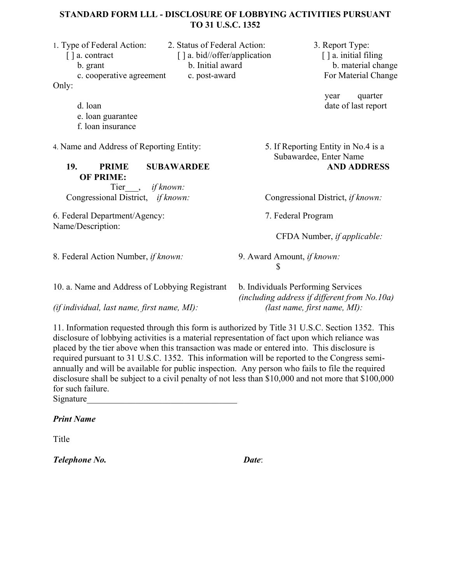#### **STANDARD FORM LLL - DISCLOSURE OF LOBBYING ACTIVITIES PURSUANT TO 31 U.S.C. 1352**

- 1. Type of Federal Action: 2. Status of Federal Action: 3. Report Type:
	-
- -
	-

Only:

 e. loan guarantee f. loan insurance

4. Name and Address of Reporting Entity: 5. If Reporting Entity in No.4 is a

# 19. PRIME SUBAWARDEE AND ADDRESS **OF PRIME:**  Tier\_\_\_, *if known:*

6. Federal Department/Agency: 7. Federal Program Name/Description:

8. Federal Action Number, *if known:* 9. Award Amount, *if known:* 

[ ] a. contract [ ] a. bid//offer/application [ ] a. initial filing b. grant b. Initial award b. material change c. cooperative agreement c. post-award For Material Change

 year quarter d. loan date of last report

Subawardee, Enter Name

Congressional District, *if known:* Congressional District, *if known:* 

CFDA Number, *if applicable:* 

 $\mathbb{S}$ 

10. a. Name and Address of Lobbying Registrant b. Individuals Performing Services *(including address if different from No.10a) (if individual, last name, first name, MI): (last name, first name, MI):* 

11. Information requested through this form is authorized by Title 31 U.S.C. Section 1352. This disclosure of lobbying activities is a material representation of fact upon which reliance was placed by the tier above when this transaction was made or entered into. This disclosure is required pursuant to 31 U.S.C. 1352. This information will be reported to the Congress semiannually and will be available for public inspection. Any person who fails to file the required disclosure shall be subject to a civil penalty of not less than \$10,000 and not more that \$100,000 for such failure.

Signature

*Print Name* 

Title

*Telephone No. Date*: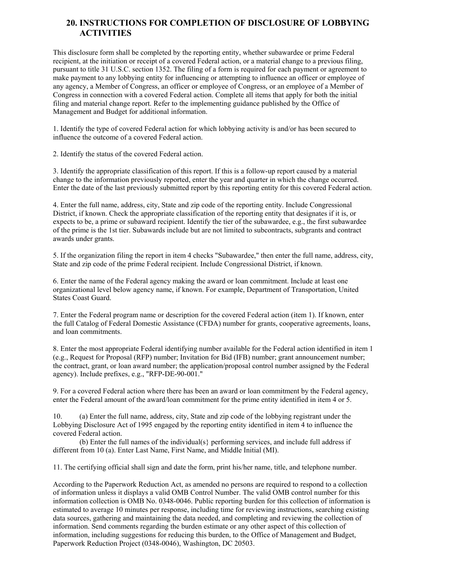#### **20. INSTRUCTIONS FOR COMPLETION OF DISCLOSURE OF LOBBYING ACTIVITIES**

This disclosure form shall be completed by the reporting entity, whether subawardee or prime Federal recipient, at the initiation or receipt of a covered Federal action, or a material change to a previous filing, pursuant to title 31 U.S.C. section 1352. The filing of a form is required for each payment or agreement to make payment to any lobbying entity for influencing or attempting to influence an officer or employee of any agency, a Member of Congress, an officer or employee of Congress, or an employee of a Member of Congress in connection with a covered Federal action. Complete all items that apply for both the initial filing and material change report. Refer to the implementing guidance published by the Office of Management and Budget for additional information.

1. Identify the type of covered Federal action for which lobbying activity is and/or has been secured to influence the outcome of a covered Federal action.

2. Identify the status of the covered Federal action.

3. Identify the appropriate classification of this report. If this is a follow-up report caused by a material change to the information previously reported, enter the year and quarter in which the change occurred. Enter the date of the last previously submitted report by this reporting entity for this covered Federal action.

4. Enter the full name, address, city, State and zip code of the reporting entity. Include Congressional District, if known. Check the appropriate classification of the reporting entity that designates if it is, or expects to be, a prime or subaward recipient. Identify the tier of the subawardee, e.g., the first subawardee of the prime is the 1st tier. Subawards include but are not limited to subcontracts, subgrants and contract awards under grants.

5. If the organization filing the report in item 4 checks "Subawardee," then enter the full name, address, city, State and zip code of the prime Federal recipient. Include Congressional District, if known.

6. Enter the name of the Federal agency making the award or loan commitment. Include at least one organizational level below agency name, if known. For example, Department of Transportation, United States Coast Guard.

7. Enter the Federal program name or description for the covered Federal action (item 1). If known, enter the full Catalog of Federal Domestic Assistance (CFDA) number for grants, cooperative agreements, loans, and loan commitments.

8. Enter the most appropriate Federal identifying number available for the Federal action identified in item 1 (e.g., Request for Proposal (RFP) number; Invitation for Bid (IFB) number; grant announcement number; the contract, grant, or loan award number; the application/proposal control number assigned by the Federal agency). Include prefixes, e.g., "RFP-DE-90-001."

9. For a covered Federal action where there has been an award or loan commitment by the Federal agency, enter the Federal amount of the award/loan commitment for the prime entity identified in item 4 or 5.

10. (a) Enter the full name, address, city, State and zip code of the lobbying registrant under the Lobbying Disclosure Act of 1995 engaged by the reporting entity identified in item 4 to influence the covered Federal action.

(b) Enter the full names of the individual(s} performing services, and include full address if different from 10 (a). Enter Last Name, First Name, and Middle Initial (MI).

11. The certifying official shall sign and date the form, print his/her name, title, and telephone number.

According to the Paperwork Reduction Act, as amended no persons are required to respond to a collection of information unless it displays a valid OMB Control Number. The valid OMB control number for this information collection is OMB No. 0348-0046. Public reporting burden for this collection of information is estimated to average 10 minutes per response, including time for reviewing instructions, searching existing data sources, gathering and maintaining the data needed, and completing and reviewing the collection of information. Send comments regarding the burden estimate or any other aspect of this collection of information, including suggestions for reducing this burden, to the Office of Management and Budget, Paperwork Reduction Project (0348-0046), Washington, DC 20503.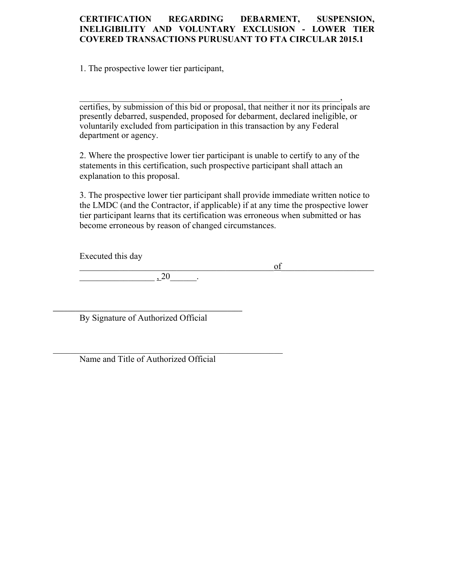#### **CERTIFICATION REGARDING DEBARMENT, SUSPENSION, INELIGIBILITY AND VOLUNTARY EXCLUSION - LOWER TIER COVERED TRANSACTIONS PURUSUANT TO FTA CIRCULAR 2015.1**

1. The prospective lower tier participant,

 $\,$ ,  $\,$ certifies, by submission of this bid or proposal, that neither it nor its principals are presently debarred, suspended, proposed for debarment, declared ineligible, or voluntarily excluded from participation in this transaction by any Federal department or agency.

2. Where the prospective lower tier participant is unable to certify to any of the statements in this certification, such prospective participant shall attach an explanation to this proposal.

3. The prospective lower tier participant shall provide immediate written notice to the LMDC (and the Contractor, if applicable) if at any time the prospective lower tier participant learns that its certification was erroneous when submitted or has become erroneous by reason of changed circumstances.

Executed this day

 $\underline{of}$ 

 $, 20$  .

By Signature of Authorized Official

Name and Title of Authorized Official

 $\mathcal{L}_\text{max}$  , and the contract of the contract of the contract of the contract of the contract of the contract of